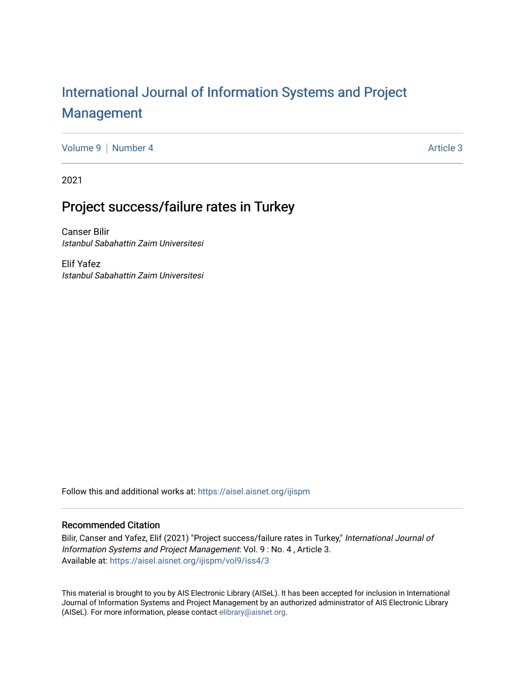# [International Journal of Information Systems and Project](https://aisel.aisnet.org/ijispm)  [Management](https://aisel.aisnet.org/ijispm)

[Volume 9](https://aisel.aisnet.org/ijispm/vol9) | [Number 4](https://aisel.aisnet.org/ijispm/vol9/iss4) Article 3

2021

# Project success/failure rates in Turkey

Canser Bilir Istanbul Sabahattin Zaim Universitesi

Elif Yafez Istanbul Sabahattin Zaim Universitesi

Follow this and additional works at: [https://aisel.aisnet.org/ijispm](https://aisel.aisnet.org/ijispm?utm_source=aisel.aisnet.org%2Fijispm%2Fvol9%2Fiss4%2F3&utm_medium=PDF&utm_campaign=PDFCoverPages) 

# Recommended Citation

Bilir, Canser and Yafez, Elif (2021) "Project success/failure rates in Turkey," International Journal of Information Systems and Project Management: Vol. 9 : No. 4 , Article 3. Available at: [https://aisel.aisnet.org/ijispm/vol9/iss4/3](https://aisel.aisnet.org/ijispm/vol9/iss4/3?utm_source=aisel.aisnet.org%2Fijispm%2Fvol9%2Fiss4%2F3&utm_medium=PDF&utm_campaign=PDFCoverPages) 

This material is brought to you by AIS Electronic Library (AISeL). It has been accepted for inclusion in International Journal of Information Systems and Project Management by an authorized administrator of AIS Electronic Library (AISeL). For more information, please contact [elibrary@aisnet.org](mailto:elibrary@aisnet.org%3E).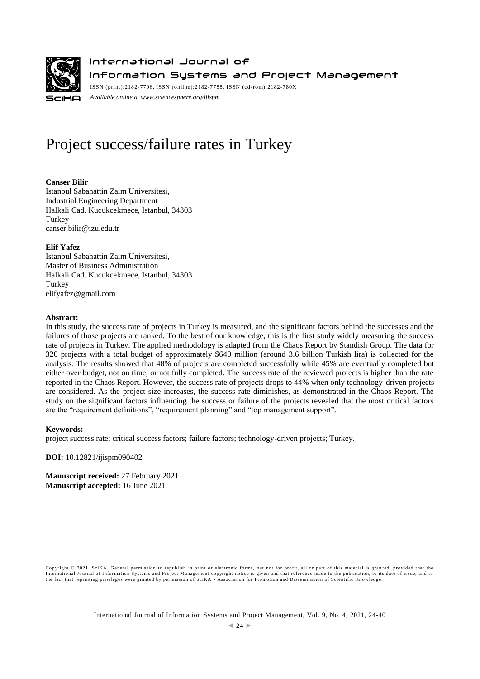

International Journal of Information Systems and Project Management

ISSN (print):2182-7796, ISSN (online):2182-7788, ISSN (cd-rom):2182-780X *Available online a[t www.sciencesphere.org/ijispm](http://www.sciencesphere.org/ijispm)*

# Project success/failure rates in Turkey

# **Canser Bilir**

Istanbul Sabahattin Zaim Universitesi, Industrial Engineering Department Halkali Cad. Kucukcekmece, Istanbul, 34303 Turkey canser.bilir@izu.edu.tr

# **Elif Yafez**

Istanbul Sabahattin Zaim Universitesi, Master of Business Administration Halkali Cad. Kucukcekmece, Istanbul, 34303 Turkey elifyafez@gmail.com

# **Abstract:**

In this study, the success rate of projects in Turkey is measured, and the significant factors behind the successes and the failures of those projects are ranked. To the best of our knowledge, this is the first study widely measuring the success rate of projects in Turkey. The applied methodology is adapted from the Chaos Report by Standish Group. The data for 320 projects with a total budget of approximately \$640 million (around 3.6 billion Turkish lira) is collected for the analysis. The results showed that 48% of projects are completed successfully while 45% are eventually completed but either over budget, not on time, or not fully completed. The success rate of the reviewed projects is higher than the rate reported in the Chaos Report. However, the success rate of projects drops to 44% when only technology-driven projects are considered. As the project size increases, the success rate diminishes, as demonstrated in the Chaos Report. The study on the significant factors influencing the success or failure of the projects revealed that the most critical factors are the "requirement definitions", "requirement planning" and "top management support".

# **Keywords:**

project success rate; critical success factors; failure factors; technology-driven projects; Turkey.

**DOI:** 10.12821/ijispm090402

**Manuscript received:** 27 February 2021 **Manuscript accepted:** 16 June 2021

Copyright © 2021, SciKA. General permission to republish in print or electronic forms, but not for profit, all or part of this material is gran ted, provided that the International Journal of Information Systems and Project Management copyright notice is given and that reference made to the publication, to its date of issue, and to<br>the fact that reprinting privileges were granted by per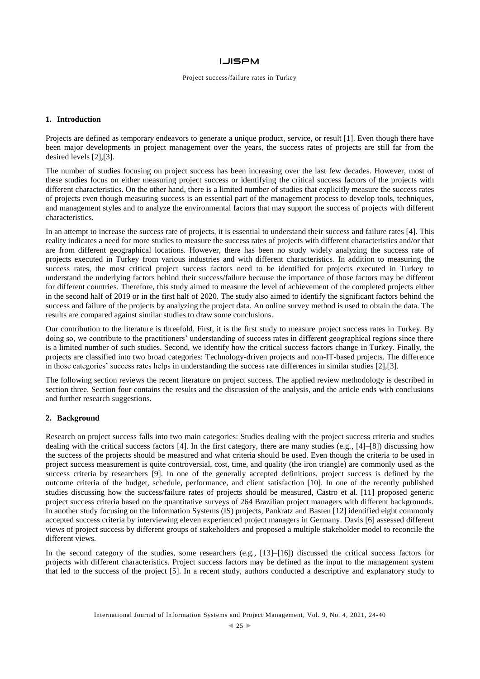#### Project success/failure rates in Turkey

### **1. Introduction**

Projects are defined as temporary endeavors to generate a unique product, service, or result [1]. Even though there have been major developments in project management over the years, the success rates of projects are still far from the desired levels [2],[3].

The number of studies focusing on project success has been increasing over the last few decades. However, most of these studies focus on either measuring project success or identifying the critical success factors of the projects with different characteristics. On the other hand, there is a limited number of studies that explicitly measure the success rates of projects even though measuring success is an essential part of the management process to develop tools, techniques, and management styles and to analyze the environmental factors that may support the success of projects with different characteristics.

In an attempt to increase the success rate of projects, it is essential to understand their success and failure rates [4]. This reality indicates a need for more studies to measure the success rates of projects with different characteristics and/or that are from different geographical locations. However, there has been no study widely analyzing the success rate of projects executed in Turkey from various industries and with different characteristics. In addition to measuring the success rates, the most critical project success factors need to be identified for projects executed in Turkey to understand the underlying factors behind their success/failure because the importance of those factors may be different for different countries. Therefore, this study aimed to measure the level of achievement of the completed projects either in the second half of 2019 or in the first half of 2020. The study also aimed to identify the significant factors behind the success and failure of the projects by analyzing the project data. An online survey method is used to obtain the data. The results are compared against similar studies to draw some conclusions.

Our contribution to the literature is threefold. First, it is the first study to measure project success rates in Turkey. By doing so, we contribute to the practitioners' understanding of success rates in different geographical regions since there is a limited number of such studies. Second, we identify how the critical success factors change in Turkey. Finally, the projects are classified into two broad categories: Technology-driven projects and non-IT-based projects. The difference in those categories' success rates helps in understanding the success rate differences in similar studies [2],[3].

The following section reviews the recent literature on project success. The applied review methodology is described in section three. Section four contains the results and the discussion of the analysis, and the article ends with conclusions and further research suggestions.

## **2. Background**

Research on project success falls into two main categories: Studies dealing with the project success criteria and studies dealing with the critical success factors [4]. In the first category, there are many studies (e.g., [4]–[8]) discussing how the success of the projects should be measured and what criteria should be used. Even though the criteria to be used in project success measurement is quite controversial, cost, time, and quality (the iron triangle) are commonly used as the success criteria by researchers [9]. In one of the generally accepted definitions, project success is defined by the outcome criteria of the budget, schedule, performance, and client satisfaction [10]. In one of the recently published studies discussing how the success/failure rates of projects should be measured, Castro et al. [11] proposed generic project success criteria based on the quantitative surveys of 264 Brazilian project managers with different backgrounds. In another study focusing on the Information Systems (IS) projects, Pankratz and Basten [12] identified eight commonly accepted success criteria by interviewing eleven experienced project managers in Germany. Davis [6] assessed different views of project success by different groups of stakeholders and proposed a multiple stakeholder model to reconcile the different views.

In the second category of the studies, some researchers (e.g., [13]–[16]) discussed the critical success factors for projects with different characteristics. Project success factors may be defined as the input to the management system that led to the success of the project [5]. In a recent study, authors conducted a descriptive and explanatory study to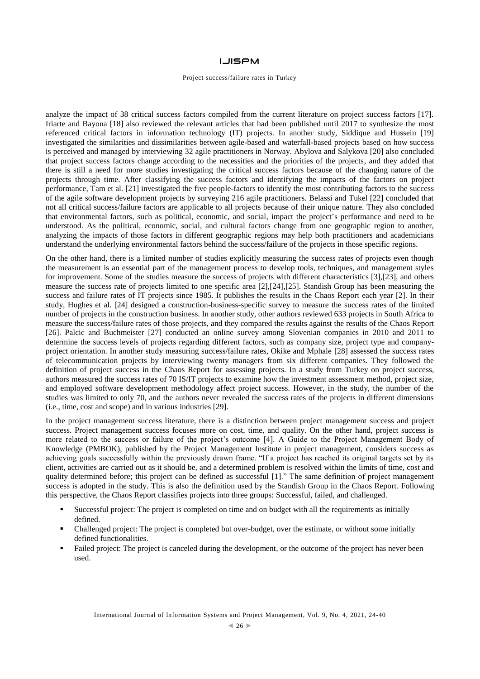### **LJISPM**

#### Project success/failure rates in Turkey

analyze the impact of 38 critical success factors compiled from the current literature on project success factors [17]. Iriarte and Bayona [18] also reviewed the relevant articles that had been published until 2017 to synthesize the most referenced critical factors in information technology (IT) projects. In another study, Siddique and Hussein [19] investigated the similarities and dissimilarities between agile-based and waterfall-based projects based on how success is perceived and managed by interviewing 32 agile practitioners in Norway. Abylova and Salykova [20] also concluded that project success factors change according to the necessities and the priorities of the projects, and they added that there is still a need for more studies investigating the critical success factors because of the changing nature of the projects through time. After classifying the success factors and identifying the impacts of the factors on project performance, Tam et al. [21] investigated the five people-factors to identify the most contributing factors to the success of the agile software development projects by surveying 216 agile practitioners. Belassi and Tukel [22] concluded that not all critical success/failure factors are applicable to all projects because of their unique nature. They also concluded that environmental factors, such as political, economic, and social, impact the project's performance and need to be understood. As the political, economic, social, and cultural factors change from one geographic region to another, analyzing the impacts of those factors in different geographic regions may help both practitioners and academicians understand the underlying environmental factors behind the success/failure of the projects in those specific regions.

On the other hand, there is a limited number of studies explicitly measuring the success rates of projects even though the measurement is an essential part of the management process to develop tools, techniques, and management styles for improvement. Some of the studies measure the success of projects with different characteristics [3],[23], and others measure the success rate of projects limited to one specific area [2],[24],[25]. Standish Group has been measuring the success and failure rates of IT projects since 1985. It publishes the results in the Chaos Report each year [2]. In their study, Hughes et al. [24] designed a construction-business-specific survey to measure the success rates of the limited number of projects in the construction business. In another study, other authors reviewed 633 projects in South Africa to measure the success/failure rates of those projects, and they compared the results against the results of the Chaos Report [26]. Palcic and Buchmeister [27] conducted an online survey among Slovenian companies in 2010 and 2011 to determine the success levels of projects regarding different factors, such as company size, project type and companyproject orientation. In another study measuring success/failure rates, Okike and Mphale [28] assessed the success rates of telecommunication projects by interviewing twenty managers from six different companies. They followed the definition of project success in the Chaos Report for assessing projects. In a study from Turkey on project success, authors measured the success rates of 70 IS/IT projects to examine how the investment assessment method, project size, and employed software development methodology affect project success. However, in the study, the number of the studies was limited to only 70, and the authors never revealed the success rates of the projects in different dimensions (i.e., time, cost and scope) and in various industries [29].

In the project management success literature, there is a distinction between project management success and project success. Project management success focuses more on cost, time, and quality. On the other hand, project success is more related to the success or failure of the project's outcome [4]. A Guide to the Project Management Body of Knowledge (PMBOK), published by the Project Management Institute in project management, considers success as achieving goals successfully within the previously drawn frame. "If a project has reached its original targets set by its client, activities are carried out as it should be, and a determined problem is resolved within the limits of time, cost and quality determined before; this project can be defined as successful [1]." The same definition of project management success is adopted in the study. This is also the definition used by the Standish Group in the Chaos Report. Following this perspective, the Chaos Report classifies projects into three groups: Successful, failed, and challenged.

- Successful project: The project is completed on time and on budget with all the requirements as initially defined.
- Challenged project: The project is completed but over-budget, over the estimate, or without some initially defined functionalities.
- Failed project: The project is canceled during the development, or the outcome of the project has never been used.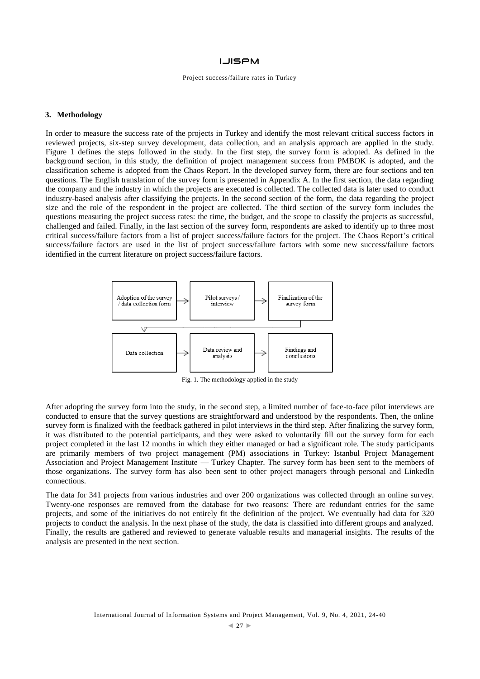#### Project success/failure rates in Turkey

## **3. Methodology**

In order to measure the success rate of the projects in Turkey and identify the most relevant critical success factors in reviewed projects, six-step survey development, data collection, and an analysis approach are applied in the study. Figure 1 defines the steps followed in the study. In the first step, the survey form is adopted. As defined in the background section, in this study, the definition of project management success from PMBOK is adopted, and the classification scheme is adopted from the Chaos Report. In the developed survey form, there are four sections and ten questions. The English translation of the survey form is presented in Appendix A. In the first section, the data regarding the company and the industry in which the projects are executed is collected. The collected data is later used to conduct industry-based analysis after classifying the projects. In the second section of the form, the data regarding the project size and the role of the respondent in the project are collected. The third section of the survey form includes the questions measuring the project success rates: the time, the budget, and the scope to classify the projects as successful, challenged and failed. Finally, in the last section of the survey form, respondents are asked to identify up to three most critical success/failure factors from a list of project success/failure factors for the project. The Chaos Report's critical success/failure factors are used in the list of project success/failure factors with some new success/failure factors identified in the current literature on project success/failure factors.



Fig. 1. The methodology applied in the study

After adopting the survey form into the study, in the second step, a limited number of face-to-face pilot interviews are conducted to ensure that the survey questions are straightforward and understood by the respondents. Then, the online survey form is finalized with the feedback gathered in pilot interviews in the third step. After finalizing the survey form, it was distributed to the potential participants, and they were asked to voluntarily fill out the survey form for each project completed in the last 12 months in which they either managed or had a significant role. The study participants are primarily members of two project management (PM) associations in Turkey: Istanbul Project Management Association and Project Management Institute — Turkey Chapter. The survey form has been sent to the members of those organizations. The survey form has also been sent to other project managers through personal and LinkedIn connections.

The data for 341 projects from various industries and over 200 organizations was collected through an online survey. Twenty-one responses are removed from the database for two reasons: There are redundant entries for the same projects, and some of the initiatives do not entirely fit the definition of the project. We eventually had data for 320 projects to conduct the analysis. In the next phase of the study, the data is classified into different groups and analyzed. Finally, the results are gathered and reviewed to generate valuable results and managerial insights. The results of the analysis are presented in the next section.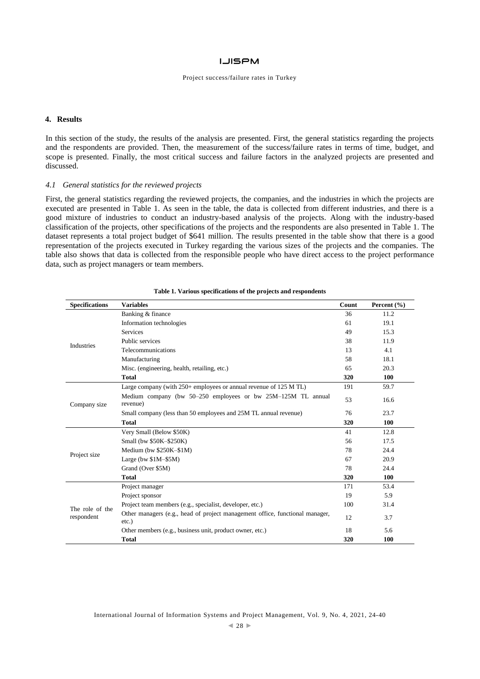#### Project success/failure rates in Turkey

# **4. Results**

In this section of the study, the results of the analysis are presented. First, the general statistics regarding the projects and the respondents are provided. Then, the measurement of the success/failure rates in terms of time, budget, and scope is presented. Finally, the most critical success and failure factors in the analyzed projects are presented and discussed.

#### *4.1 General statistics for the reviewed projects*

First, the general statistics regarding the reviewed projects, the companies, and the industries in which the projects are executed are presented in Table 1. As seen in the table, the data is collected from different industries, and there is a good mixture of industries to conduct an industry-based analysis of the projects. Along with the industry-based classification of the projects, other specifications of the projects and the respondents are also presented in Table 1. The dataset represents a total project budget of \$641 million. The results presented in the table show that there is a good representation of the projects executed in Turkey regarding the various sizes of the projects and the companies. The table also shows that data is collected from the responsible people who have direct access to the project performance data, such as project managers or team members.

| <b>Specifications</b>         | <b>Variables</b>                                                                         | Count | Percent (%) |
|-------------------------------|------------------------------------------------------------------------------------------|-------|-------------|
|                               | Banking & finance                                                                        | 36    | 11.2        |
|                               | Information technologies                                                                 | 61    | 19.1        |
|                               | <b>Services</b>                                                                          | 49    | 15.3        |
| <b>Industries</b>             | Public services                                                                          | 38    | 11.9        |
|                               | Telecommunications                                                                       | 13    | 4.1         |
|                               | Manufacturing                                                                            | 58    | 18.1        |
|                               | Misc. (engineering, health, retailing, etc.)                                             | 65    | 20.3        |
|                               | <b>Total</b>                                                                             | 320   | 100         |
|                               | Large company (with $250+$ employees or annual revenue of $125$ M TL)                    | 191   | 59.7        |
| Company size                  | Medium company (bw 50–250 employees or bw 25M–125M TL annual<br>revenue)                 | 53    | 16.6        |
|                               | Small company (less than 50 employees and 25M TL annual revenue)                         | 76    | 23.7        |
|                               | Total                                                                                    | 320   | <b>100</b>  |
|                               | Very Small (Below \$50K)                                                                 | 41    | 12.8        |
|                               | Small (bw \$50K-\$250K)                                                                  | 56    | 17.5        |
|                               | Medium (bw $$250K-$1M$ )                                                                 | 78    | 24.4        |
| Project size                  | Large (bw $$1M-$5M$ )                                                                    | 67    | 20.9        |
|                               | Grand (Over \$5M)                                                                        | 78    | 24.4        |
|                               | <b>Total</b>                                                                             | 320   | <b>100</b>  |
|                               | Project manager                                                                          | 171   | 53.4        |
|                               | Project sponsor                                                                          | 19    | 5.9         |
| The role of the<br>respondent | Project team members (e.g., specialist, developer, etc.)                                 | 100   | 31.4        |
|                               | Other managers (e.g., head of project management office, functional manager,<br>$etc.$ ) | 12    | 3.7         |
|                               | Other members (e.g., business unit, product owner, etc.)                                 | 18    | 5.6         |
|                               | <b>Total</b>                                                                             | 320   | 100         |

#### **Table 1. Various specifications of the projects and respondents**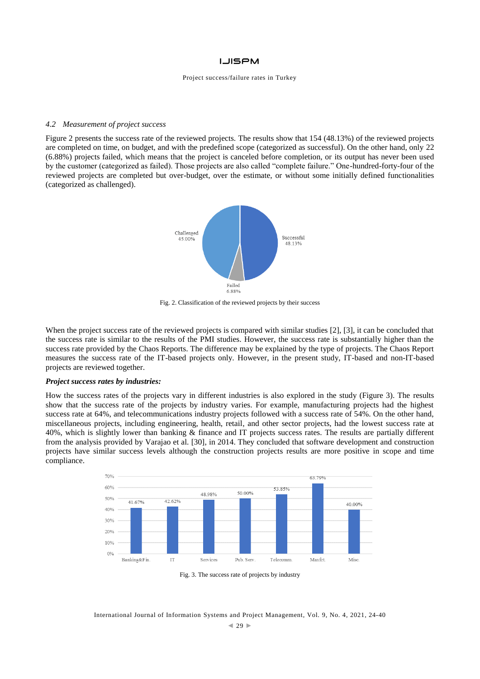#### Project success/failure rates in Turkey

#### *4.2 Measurement of project success*

Figure 2 presents the success rate of the reviewed projects. The results show that 154 (48.13%) of the reviewed projects are completed on time, on budget, and with the predefined scope (categorized as successful). On the other hand, only 22 (6.88%) projects failed, which means that the project is canceled before completion, or its output has never been used by the customer (categorized as failed). Those projects are also called "complete failure." One-hundred-forty-four of the reviewed projects are completed but over-budget, over the estimate, or without some initially defined functionalities (categorized as challenged).



Fig. 2. Classification of the reviewed projects by their success

When the project success rate of the reviewed projects is compared with similar studies [2], [3], it can be concluded that the success rate is similar to the results of the PMI studies. However, the success rate is substantially higher than the success rate provided by the Chaos Reports. The difference may be explained by the type of projects. The Chaos Report measures the success rate of the IT-based projects only. However, in the present study, IT-based and non-IT-based projects are reviewed together.

#### *Project success rates by industries:*

How the success rates of the projects vary in different industries is also explored in the study (Figure 3). The results show that the success rate of the projects by industry varies. For example, manufacturing projects had the highest success rate at 64%, and telecommunications industry projects followed with a success rate of 54%. On the other hand, miscellaneous projects, including engineering, health, retail, and other sector projects, had the lowest success rate at 40%, which is slightly lower than banking & finance and IT projects success rates. The results are partially different from the analysis provided by Varajao et al. [30], in 2014. They concluded that software development and construction projects have similar success levels although the construction projects results are more positive in scope and time compliance.



Fig. 3. The success rate of projects by industry

#### International Journal of Information Systems and Project Management, Vol. 9, No. 4, 2021, 24-40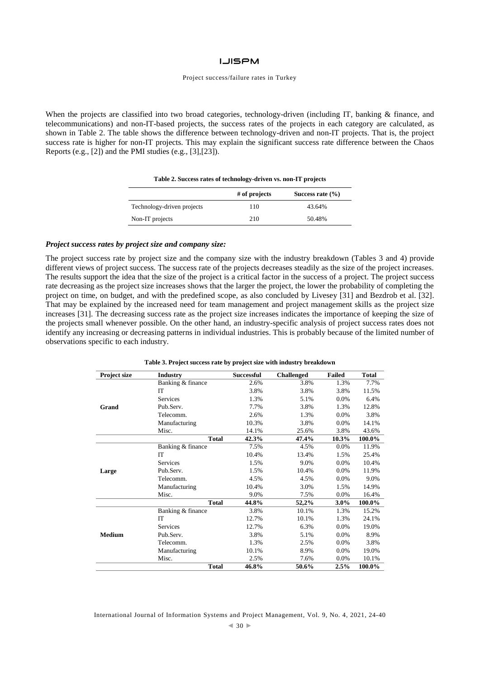#### Project success/failure rates in Turkey

When the projects are classified into two broad categories, technology-driven (including IT, banking & finance, and telecommunications) and non-IT-based projects, the success rates of the projects in each category are calculated, as shown in Table 2. The table shows the difference between technology-driven and non-IT projects. That is, the project success rate is higher for non-IT projects. This may explain the significant success rate difference between the Chaos Reports (e.g., [2]) and the PMI studies (e.g., [3],[23]).

**Table 2. Success rates of technology-driven vs. non-IT projects**

|                            | $#$ of projects | Success rate $(\% )$ |
|----------------------------|-----------------|----------------------|
| Technology-driven projects | 110             | 43.64%               |
| Non-IT projects            | 210             | 50.48%               |

# *Project success rates by project size and company size:*

The project success rate by project size and the company size with the industry breakdown (Tables 3 and 4) provide different views of project success. The success rate of the projects decreases steadily as the size of the project increases. The results support the idea that the size of the project is a critical factor in the success of a project. The project success rate decreasing as the project size increases shows that the larger the project, the lower the probability of completing the project on time, on budget, and with the predefined scope, as also concluded by Livesey [31] and Bezdrob et al. [32]. That may be explained by the increased need for team management and project management skills as the project size increases [31]. The decreasing success rate as the project size increases indicates the importance of keeping the size of the projects small whenever possible. On the other hand, an industry-specific analysis of project success rates does not identify any increasing or decreasing patterns in individual industries. This is probably because of the limited number of observations specific to each industry.

|  |  |  |  |  |  |  |  |  | Table 3. Project success rate by project size with industry breakdown |
|--|--|--|--|--|--|--|--|--|-----------------------------------------------------------------------|
|--|--|--|--|--|--|--|--|--|-----------------------------------------------------------------------|

| Project size  | <b>Industry</b>   | <b>Successful</b> | <b>Challenged</b> | <b>Failed</b> | <b>Total</b> |
|---------------|-------------------|-------------------|-------------------|---------------|--------------|
|               | Banking & finance | 2.6%              | 3.8%              | 1.3%          | 7.7%         |
|               | IT                | 3.8%              | 3.8%              | 3.8%          | 11.5%        |
|               | <b>Services</b>   | 1.3%              | 5.1%              | 0.0%          | 6.4%         |
| Grand         | Pub.Serv.         | 7.7%              | 3.8%              | 1.3%          | 12.8%        |
|               | Telecomm.         | 2.6%              | 1.3%              | 0.0%          | 3.8%         |
|               | Manufacturing     | 10.3%             | 3.8%              | 0.0%          | 14.1%        |
|               | Misc.             | 14.1%             | 25.6%             | 3.8%          | 43.6%        |
|               | <b>Total</b>      | 42.3%             | 47.4%             | 10.3%         | 100.0%       |
|               | Banking & finance | 7.5%              | 4.5%              | 0.0%          | 11.9%        |
| Large         | IT                | 10.4%             | 13.4%             | 1.5%          | 25.4%        |
|               | Services          | 1.5%              | 9.0%              | 0.0%          | 10.4%        |
|               | Pub.Serv.         | 1.5%              | 10.4%             | 0.0%          | 11.9%        |
|               | Telecomm.         | 4.5%              | 4.5%              | 0.0%          | 9.0%         |
|               | Manufacturing     | 10.4%             | 3.0%              | 1.5%          | 14.9%        |
|               | Misc.             | 9.0%              | 7.5%              | 0.0%          | 16.4%        |
|               | <b>Total</b>      | 44.8%             | 52,2%             | 3.0%          | 100.0%       |
|               | Banking & finance | 3.8%              | 10.1%             | 1.3%          | 15.2%        |
|               | IT                | 12.7%             | 10.1%             | 1.3%          | 24.1%        |
|               | <b>Services</b>   | 12.7%             | 6.3%              | 0.0%          | 19.0%        |
| <b>Medium</b> | Pub.Serv.         | 3.8%              | 5.1%              | 0.0%          | 8.9%         |
|               | Telecomm.         | 1.3%              | 2.5%              | 0.0%          | 3.8%         |
|               | Manufacturing     | 10.1%             | 8.9%              | 0.0%          | 19.0%        |
|               | Misc.             | 2.5%              | 7.6%              | 0.0%          | 10.1%        |
|               | <b>Total</b>      | 46.8%             | 50.6%             | 2.5%          | 100.0%       |

International Journal of Information Systems and Project Management, Vol. 9, No. 4, 2021, 24-40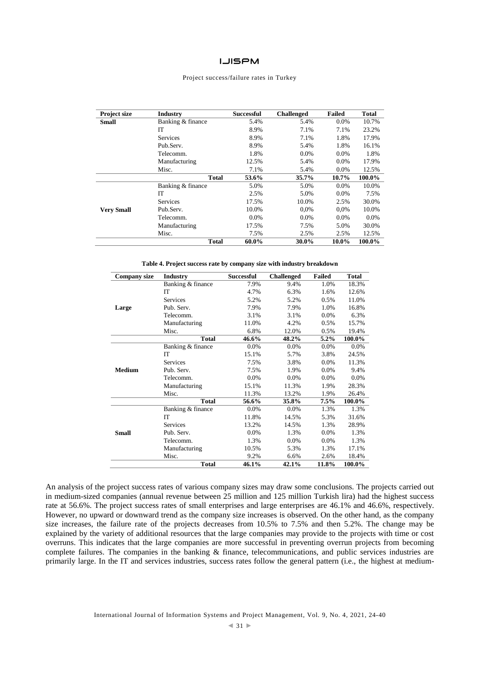#### Project success/failure rates in Turkey

| Project size      | <b>Industry</b>   | <b>Successful</b> | <b>Challenged</b> | <b>Failed</b> | <b>Total</b> |
|-------------------|-------------------|-------------------|-------------------|---------------|--------------|
| <b>Small</b>      | Banking & finance | 5.4%              | 5.4%              | $0.0\%$       | 10.7%        |
|                   | IT                | 8.9%              | 7.1%              | 7.1%          | 23.2%        |
|                   | <b>Services</b>   | 8.9%              | 7.1%              | 1.8%          | 17.9%        |
|                   | Pub.Serv.         | 8.9%              | 5.4%              | 1.8%          | 16.1%        |
|                   | Telecomm.         | 1.8%              | $0.0\%$           | 0.0%          | 1.8%         |
|                   | Manufacturing     | 12.5%             | 5.4%              | $0.0\%$       | 17.9%        |
|                   | Misc.             | 7.1%              | 5.4%              | 0.0%          | 12.5%        |
|                   | <b>Total</b>      | 53.6%             | 35.7%             | 10.7%         | 100.0%       |
|                   | Banking & finance | 5.0%              | 5.0%              | $0.0\%$       | 10.0%        |
|                   | IТ                | 2.5%              | 5.0%              | 0.0%          | 7.5%         |
|                   | <b>Services</b>   | 17.5%             | 10.0%             | 2.5%          | 30.0%        |
| <b>Very Small</b> | Pub.Serv.         | 10.0%             | $0.0\%$           | 0.0%          | 10.0%        |
|                   | Telecomm.         | $0.0\%$           | $0.0\%$           | $0.0\%$       | $0.0\%$      |
|                   | Manufacturing     | 17.5%             | 7.5%              | 5.0%          | 30.0%        |
|                   | Misc.             | 7.5%              | 2.5%              | 2.5%          | 12.5%        |
|                   | <b>Total</b>      | 60.0%             | 30.0%             | 10.0%         | 100.0%       |

**Table 4. Project success rate by company size with industry breakdown**

| <b>Company size</b> | <b>Industry</b>   | <b>Successful</b> | <b>Challenged</b> | <b>Failed</b> | <b>Total</b> |
|---------------------|-------------------|-------------------|-------------------|---------------|--------------|
|                     | Banking & finance | 7.9%              | 9.4%              | 1.0%          | 18.3%        |
|                     | IT                | 4.7%              | 6.3%              | 1.6%          | 12.6%        |
|                     | <b>Services</b>   | 5.2%              | 5.2%              | 0.5%          | 11.0%        |
| Large               | Pub. Serv.        | 7.9%              | 7.9%              | 1.0%          | 16.8%        |
|                     | Telecomm.         | 3.1%              | 3.1%              | 0.0%          | 6.3%         |
|                     | Manufacturing     | 11.0%             | 4.2%              | 0.5%          | 15.7%        |
|                     | Misc.             | 6.8%              | 12.0%             | 0.5%          | 19.4%        |
|                     | <b>Total</b>      | 46.6%             | 48.2%             | $5.2\%$       | 100.0%       |
|                     | Banking & finance | 0.0%              | 0.0%              | 0.0%          | 0.0%         |
|                     | IT                | 15.1%             | 5.7%              | 3.8%          | 24.5%        |
|                     | <b>Services</b>   | 7.5%              | 3.8%              | 0.0%          | 11.3%        |
| <b>Medium</b>       | Pub. Serv.        | 7.5%              | 1.9%              | 0.0%          | 9.4%         |
|                     | Telecomm.         | 0.0%              | 0.0%              | 0.0%          | 0.0%         |
|                     | Manufacturing     | 15.1%             | 11.3%             | 1.9%          | 28.3%        |
|                     | Misc.             | 11.3%             | 13.2%             | 1.9%          | 26.4%        |
|                     | <b>Total</b>      | 56.6%             | 35.8%             | 7.5%          | 100.0%       |
|                     | Banking & finance | 0.0%              | 0.0%              | 1.3%          | 1.3%         |
|                     | IT                | 11.8%             | 14.5%             | 5.3%          | 31.6%        |
|                     | <b>Services</b>   | 13.2%             | 14.5%             | 1.3%          | 28.9%        |
| <b>Small</b>        | Pub. Serv.        | 0.0%              | 1.3%              | 0.0%          | 1.3%         |
|                     | Telecomm.         | 1.3%              | 0.0%              | 0.0%          | 1.3%         |
|                     | Manufacturing     | 10.5%             | 5.3%              | 1.3%          | 17.1%        |
|                     | Misc.             | 9.2%              | 6.6%              | 2.6%          | 18.4%        |
|                     | <b>Total</b>      | 46.1%             | 42.1%             | 11.8%         | 100.0%       |

An analysis of the project success rates of various company sizes may draw some conclusions. The projects carried out in medium-sized companies (annual revenue between 25 million and 125 million Turkish lira) had the highest success rate at 56.6%. The project success rates of small enterprises and large enterprises are 46.1% and 46.6%, respectively. However, no upward or downward trend as the company size increases is observed. On the other hand, as the company size increases, the failure rate of the projects decreases from 10.5% to 7.5% and then 5.2%. The change may be explained by the variety of additional resources that the large companies may provide to the projects with time or cost overruns. This indicates that the large companies are more successful in preventing overrun projects from becoming complete failures. The companies in the banking & finance, telecommunications, and public services industries are primarily large. In the IT and services industries, success rates follow the general pattern (i.e., the highest at medium-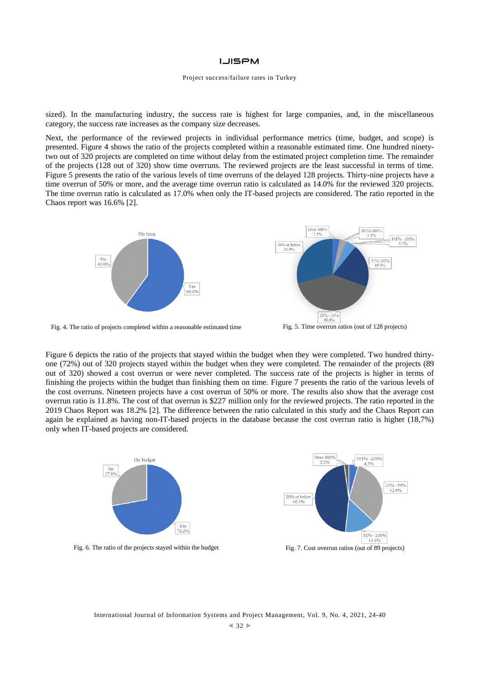#### Project success/failure rates in Turkey

sized). In the manufacturing industry, the success rate is highest for large companies, and, in the miscellaneous category, the success rate increases as the company size decreases.

Next, the performance of the reviewed projects in individual performance metrics (time, budget, and scope) is presented. Figure 4 shows the ratio of the projects completed within a reasonable estimated time. One hundred ninetytwo out of 320 projects are completed on time without delay from the estimated project completion time. The remainder of the projects (128 out of 320) show time overruns. The reviewed projects are the least successful in terms of time. Figure 5 presents the ratio of the various levels of time overruns of the delayed 128 projects. Thirty-nine projects have a time overrun of 50% or more, and the average time overrun ratio is calculated as 14.0% for the reviewed 320 projects. The time overrun ratio is calculated as 17.0% when only the IT-based projects are considered. The ratio reported in the Chaos report was 16.6% [2].





Fig. 4. The ratio of projects completed within a reasonable estimated time Fig. 5. Time overrun ratios (out of 128 projects)



Figure 6 depicts the ratio of the projects that stayed within the budget when they were completed. Two hundred thirtyone (72%) out of 320 projects stayed within the budget when they were completed. The remainder of the projects (89 out of 320) showed a cost overrun or were never completed. The success rate of the projects is higher in terms of finishing the projects within the budget than finishing them on time. Figure 7 presents the ratio of the various levels of the cost overruns. Nineteen projects have a cost overrun of 50% or more. The results also show that the average cost overrun ratio is 11.8%. The cost of that overrun is \$227 million only for the reviewed projects. The ratio reported in the 2019 Chaos Report was 18.2% [2]. The difference between the ratio calculated in this study and the Chaos Report can again be explained as having non-IT-based projects in the database because the cost overrun ratio is higher (18,7%) only when IT-based projects are considered.





International Journal of Information Systems and Project Management, Vol. 9, No. 4, 2021, 24-40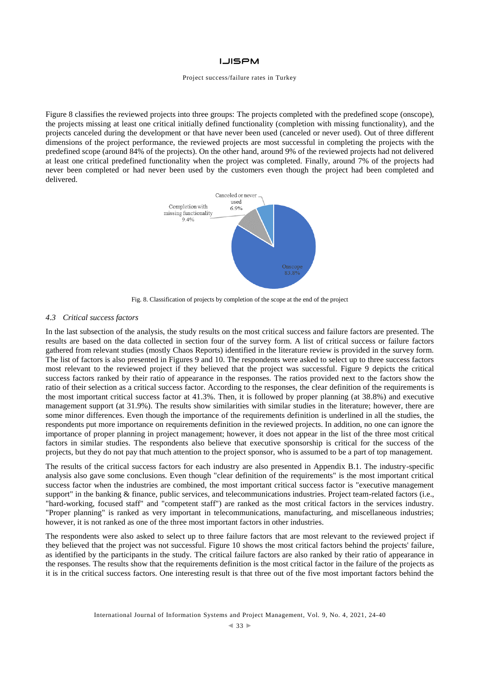#### Project success/failure rates in Turkey

Figure 8 classifies the reviewed projects into three groups: The projects completed with the predefined scope (onscope), the projects missing at least one critical initially defined functionality (completion with missing functionality), and the projects canceled during the development or that have never been used (canceled or never used). Out of three different dimensions of the project performance, the reviewed projects are most successful in completing the projects with the predefined scope (around 84% of the projects). On the other hand, around 9% of the reviewed projects had not delivered at least one critical predefined functionality when the project was completed. Finally, around 7% of the projects had never been completed or had never been used by the customers even though the project had been completed and delivered.



Fig. 8. Classification of projects by completion of the scope at the end of the project

#### *4.3 Critical success factors*

In the last subsection of the analysis, the study results on the most critical success and failure factors are presented. The results are based on the data collected in section four of the survey form. A list of critical success or failure factors gathered from relevant studies (mostly Chaos Reports) identified in the literature review is provided in the survey form. The list of factors is also presented in Figures 9 and 10. The respondents were asked to select up to three success factors most relevant to the reviewed project if they believed that the project was successful. Figure 9 depicts the critical success factors ranked by their ratio of appearance in the responses. The ratios provided next to the factors show the ratio of their selection as a critical success factor. According to the responses, the clear definition of the requirements is the most important critical success factor at 41.3%. Then, it is followed by proper planning (at 38.8%) and executive management support (at 31.9%). The results show similarities with similar studies in the literature; however, there are some minor differences. Even though the importance of the requirements definition is underlined in all the studies, the respondents put more importance on requirements definition in the reviewed projects. In addition, no one can ignore the importance of proper planning in project management; however, it does not appear in the list of the three most critical factors in similar studies. The respondents also believe that executive sponsorship is critical for the success of the projects, but they do not pay that much attention to the project sponsor, who is assumed to be a part of top management.

The results of the critical success factors for each industry are also presented in Appendix B.1. The industry-specific analysis also gave some conclusions. Even though "clear definition of the requirements" is the most important critical success factor when the industries are combined, the most important critical success factor is "executive management support" in the banking & finance, public services, and telecommunications industries. Project team-related factors (i.e., "hard-working, focused staff" and "competent staff") are ranked as the most critical factors in the services industry. "Proper planning" is ranked as very important in telecommunications, manufacturing, and miscellaneous industries; however, it is not ranked as one of the three most important factors in other industries.

The respondents were also asked to select up to three failure factors that are most relevant to the reviewed project if they believed that the project was not successful. Figure 10 shows the most critical factors behind the projects' failure, as identified by the participants in the study. The critical failure factors are also ranked by their ratio of appearance in the responses. The results show that the requirements definition is the most critical factor in the failure of the projects as it is in the critical success factors. One interesting result is that three out of the five most important factors behind the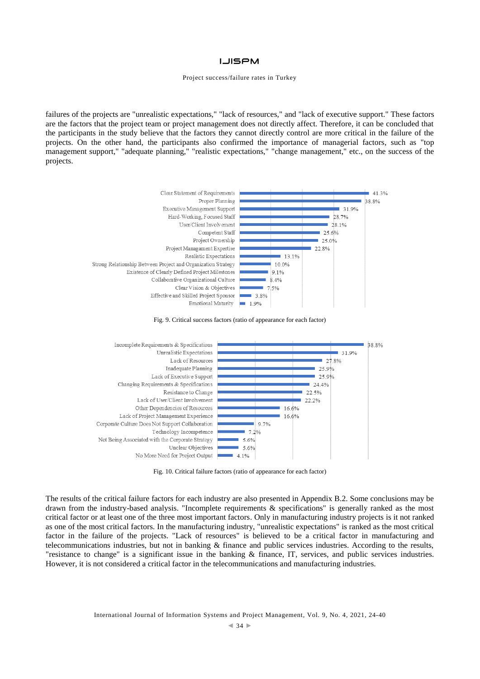#### Project success/failure rates in Turkey

failures of the projects are "unrealistic expectations," "lack of resources," and "lack of executive support." These factors are the factors that the project team or project management does not directly affect. Therefore, it can be concluded that the participants in the study believe that the factors they cannot directly control are more critical in the failure of the projects. On the other hand, the participants also confirmed the importance of managerial factors, such as "top management support," "adequate planning," "realistic expectations," "change management," etc., on the success of the projects.







Fig. 10. Critical failure factors (ratio of appearance for each factor)

The results of the critical failure factors for each industry are also presented in Appendix B.2. Some conclusions may be drawn from the industry-based analysis. "Incomplete requirements & specifications" is generally ranked as the most critical factor or at least one of the three most important factors. Only in manufacturing industry projects is it not ranked as one of the most critical factors. In the manufacturing industry, "unrealistic expectations" is ranked as the most critical factor in the failure of the projects. "Lack of resources" is believed to be a critical factor in manufacturing and telecommunications industries, but not in banking & finance and public services industries. According to the results, "resistance to change" is a significant issue in the banking & finance, IT, services, and public services industries. However, it is not considered a critical factor in the telecommunications and manufacturing industries.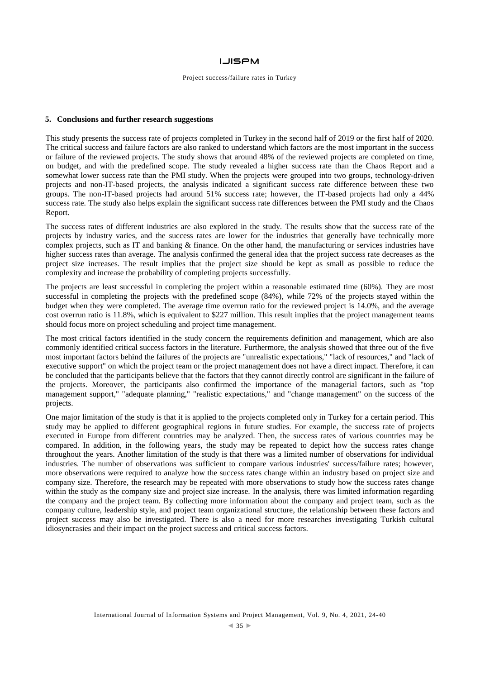#### Project success/failure rates in Turkey

## **5. Conclusions and further research suggestions**

This study presents the success rate of projects completed in Turkey in the second half of 2019 or the first half of 2020. The critical success and failure factors are also ranked to understand which factors are the most important in the success or failure of the reviewed projects. The study shows that around 48% of the reviewed projects are completed on time, on budget, and with the predefined scope. The study revealed a higher success rate than the Chaos Report and a somewhat lower success rate than the PMI study. When the projects were grouped into two groups, technology-driven projects and non-IT-based projects, the analysis indicated a significant success rate difference between these two groups. The non-IT-based projects had around 51% success rate; however, the IT-based projects had only a 44% success rate. The study also helps explain the significant success rate differences between the PMI study and the Chaos Report.

The success rates of different industries are also explored in the study. The results show that the success rate of the projects by industry varies, and the success rates are lower for the industries that generally have technically more complex projects, such as IT and banking & finance. On the other hand, the manufacturing or services industries have higher success rates than average. The analysis confirmed the general idea that the project success rate decreases as the project size increases. The result implies that the project size should be kept as small as possible to reduce the complexity and increase the probability of completing projects successfully.

The projects are least successful in completing the project within a reasonable estimated time (60%). They are most successful in completing the projects with the predefined scope (84%), while 72% of the projects stayed within the budget when they were completed. The average time overrun ratio for the reviewed project is 14.0%, and the average cost overrun ratio is 11.8%, which is equivalent to \$227 million. This result implies that the project management teams should focus more on project scheduling and project time management.

The most critical factors identified in the study concern the requirements definition and management, which are also commonly identified critical success factors in the literature. Furthermore, the analysis showed that three out of the five most important factors behind the failures of the projects are "unrealistic expectations," "lack of resources," and "lack of executive support" on which the project team or the project management does not have a direct impact. Therefore, it can be concluded that the participants believe that the factors that they cannot directly control are significant in the failure of the projects. Moreover, the participants also confirmed the importance of the managerial factors, such as "top management support," "adequate planning," "realistic expectations," and "change management" on the success of the projects.

One major limitation of the study is that it is applied to the projects completed only in Turkey for a certain period. This study may be applied to different geographical regions in future studies. For example, the success rate of projects executed in Europe from different countries may be analyzed. Then, the success rates of various countries may be compared. In addition, in the following years, the study may be repeated to depict how the success rates change throughout the years. Another limitation of the study is that there was a limited number of observations for individual industries. The number of observations was sufficient to compare various industries' success/failure rates; however, more observations were required to analyze how the success rates change within an industry based on project size and company size. Therefore, the research may be repeated with more observations to study how the success rates change within the study as the company size and project size increase. In the analysis, there was limited information regarding the company and the project team. By collecting more information about the company and project team, such as the company culture, leadership style, and project team organizational structure, the relationship between these factors and project success may also be investigated. There is also a need for more researches investigating Turkish cultural idiosyncrasies and their impact on the project success and critical success factors.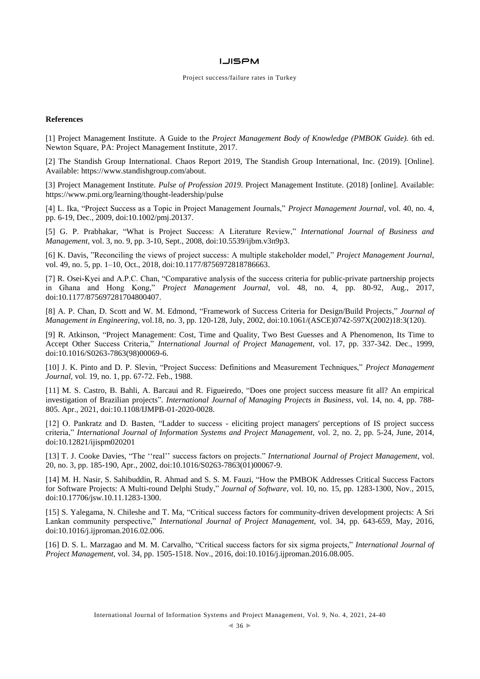### **References**

[1] Project Management Institute. A Guide to the *Project Management Body of Knowledge (PMBOK Guide).* 6th ed. Newton Square, PA: Project Management Institute, 2017.

[2] The Standish Group International. Chaos Report 2019, The Standish Group International, Inc. (2019). [Online]. Available: https://www.standishgroup.com/about.

[3] Project Management Institute. *Pulse of Profession 2019.* Project Management Institute. (2018) [online]. Available: <https://www.pmi.org/learning/thought-leadership/pulse>

[4] L. Ika, "Project Success as a Topic in Project Management Journals," *Project Management Journal,* vol. 40, no. 4, pp. 6-19, Dec., 2009, doi[:10.1002/pmj.20137.](https://doi.org/10.1002/pmj.20137)

[5] G. P. Prabhakar, "What is Project Success: A Literature Review," *International Journal of Business and Management,* vol. 3, no. 9, pp. 3-10, Sept., 2008, doi:10.5539/ijbm.v3n9p3.

[6] K. Davis, "Reconciling the views of project success: A multiple stakeholder model," *Project Management Journal,*  vol. 49, no. 5, pp. 1–10, Oct., 2018, doi[:10.1177/8756972818786663.](https://doi.org/10.1177/8756972818786663)

[7] R. Osei-Kyei and A.P.C. Chan, "Comparative analysis of the success criteria for public-private partnership projects in Ghana and Hong Kong," *Project Management Journal,* vol. 48, no. 4, pp. 80-92, Aug., 2017, doi[:10.1177/875697281704800407.](https://doi.org/10.1177%2F875697281704800407)

[8] A. P. Chan, D. Scott and W. M. Edmond, "Framework of Success Criteria for Design/Build Projects," *Journal of Management in Engineering,* vol.18, no. 3, pp. 120-128, July, 2002, doi:10.1061/(ASCE)0742-597X(2002)18:3(120).

[9] R. Atkinson, "Project Management: Cost, Time and Quality, Two Best Guesses and A Phenomenon, Its Time to Accept Other Success Criteria," *International Journal of Project Management,* vol. 17, pp. 337-342. Dec., 1999, doi:10.1016/S0263-7863(98)00069-6.

[10] J. K. Pinto and D. P. Slevin, "Project Success: Definitions and Measurement Techniques," *Project Management Journal,* vol. 19, no. 1, pp. 67-72. Feb., 1988.

[11] M. S. Castro, B. Bahli, A. Barcaui and R. Figueiredo, "Does one project success measure fit all? An empirical investigation of Brazilian projects". *International Journal of Managing Projects in Business*, vol. 14, no. 4, pp. 788- 805. Apr., 2021, doi:10.1108/IJMPB-01-2020-0028.

[12] O. Pankratz and D. Basten, "Ladder to success - eliciting project managers' perceptions of IS project success criteria," *International Journal of Information Systems and Project Management,* vol. 2, no. 2, pp. 5-24, June, 2014, doi:10.12821/ijispm020201

[13] T. J. Cooke Davies, "The ''real'' success factors on projects." *International Journal of Project Management,* vol. 20, no. 3, pp. 185-190, Apr., 2002, doi:10.1016/S0263-7863(01)00067-9.

[14] M. H. Nasir, S. Sahibuddin, R. Ahmad and S. S. M. Fauzi, "How the PMBOK Addresses Critical Success Factors for Software Projects: A Multi-round Delphi Study," *Journal of Software*, vol. 10, no. 15, pp. 1283-1300, Nov., 2015, doi:10.17706/jsw.10.11.1283-1300.

[15] S. Yalegama, N. Chileshe and T. Ma, "Critical success factors for community-driven development projects: A Sri Lankan community perspective," *International Journal of Project Management,* vol. 34, pp. 643-659, May, 2016, doi:10.1016/j.ijproman.2016.02.006.

[16] D. S. L. Marzagao and M. M. Carvalho, "Critical success factors for six sigma projects," *International Journal of Project Management,* vol. 34, pp. 1505-1518. Nov., 2016, doi:10.1016/j.ijproman.2016.08.005.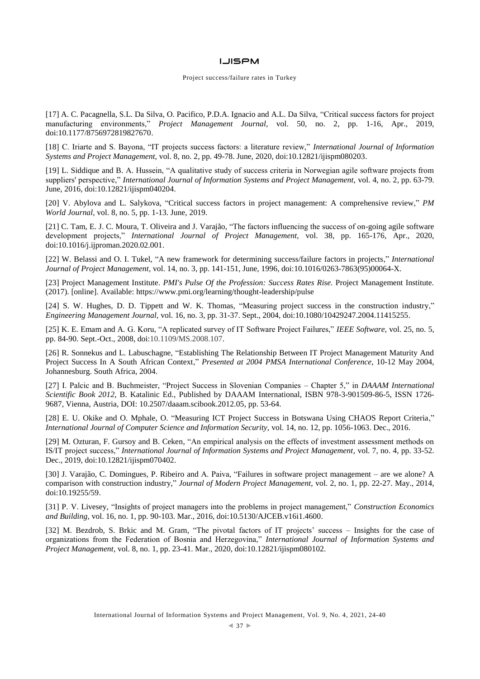### **LJISPM**

#### Project success/failure rates in Turkey

[17] A. C. Pacagnella, S.L. Da Silva, O. Pacifico, P.D.A. Ignacio and A.L. Da Silva, "Critical success factors for project manufacturing environments," *Project Management Journal,* vol. 50, no. 2, pp. 1-16, Apr., 2019, doi:10.1177/8756972819827670.

[18] C. Iriarte and S. Bayona, "IT projects success factors: a literature review," *International Journal of Information Systems and Project Management,* vol. 8, no. 2, pp. 49-78. June, 2020, doi:10.12821/ijispm080203.

[19] L. Siddique and B. A. Hussein, "A qualitative study of success criteria in Norwegian agile software projects from suppliers' perspective," *International Journal of Information Systems and Project Management,* vol. 4, no. 2, pp. 63-79. June, 2016, doi:10.12821/ijispm040204.

[20] V. Abylova and L. Salykova, "Critical success factors in project management: A comprehensive review," *PM World Journal,* vol. 8, no. 5, pp. 1-13. June, 2019.

[21] C. Tam, E. J. C. Moura, T. Oliveira and J. Varajão, "The factors influencing the success of on-going agile software development projects," *International Journal of Project Management,* vol. 38, pp. 165-176, Apr., 2020, doi:10.1016/j.ijproman.2020.02.001.

[22] W. Belassi and O. I. Tukel, "A new framework for determining success/failure factors in projects," *International Journal of Project Management,* vol. 14, no. 3, pp. 141-151, June, 1996, doi:10.1016/0263-7863(95)00064-X.

[23] Project Management Institute. *PMI's Pulse Of the Profession: Success Rates Rise.* Project Management Institute. (2017). [online]. Available:<https://www.pmi.org/learning/thought-leadership/pulse>

[24] S. W. Hughes, D. D. Tippett and W. K. Thomas, "Measuring project success in the construction industry," *Engineering Management Journal,* vol. 16, no. 3, pp. 31-37. Sept., 2004, doi:10.1080/10429247.2004.11415255.

[25] K. E. Emam and A. G. Koru, "A replicated survey of IT Software Project Failures," *IEEE Software,* vol. 25, no. 5, pp. 84-90. Sept.-Oct., 2008, doi:10.1109/MS.2008.107.

[26] R. Sonnekus and L. Labuschagne, "Establishing The Relationship Between IT Project Management Maturity And Project Success In A South African Context," *Presented at 2004 PMSA International Conference*, 10-12 May 2004, Johannesburg. South Africa, 2004.

[27] I. Palcic and B. Buchmeister, "Project Success in Slovenian Companies – Chapter 5," in *DAAAM International Scientific Book 2012*, B. Katalinic Ed., Published by DAAAM International, ISBN 978-3-901509-86-5, ISSN 1726- 9687, Vienna, Austria, DOI: 10.2507/daaam.scibook.2012.05, pp. 53-64.

[28] E. U. Okike and O. Mphale, O. "Measuring ICT Project Success in Botswana Using CHAOS Report Criteria," *International Journal of Computer Science and Information Security,* vol. 14, no. 12, pp. 1056-1063. Dec., 2016.

[29] M. Ozturan, F. Gursoy and B. Ceken, "An empirical analysis on the effects of investment assessment methods on IS/IT project success," *International Journal of Information Systems and Project Management,* vol. 7, no. 4, pp. 33-52. Dec., 2019, doi:10.12821/ijispm070402.

[30] J. Varajão, C. Domingues, P. Ribeiro and A. Paiva, "Failures in software project management – are we alone? A comparison with construction industry," *Journal of Modern Project Management,* vol. 2, no. 1, pp. 22-27. May., 2014, doi:10.19255/59.

[31] P. V. Livesey, "Insights of project managers into the problems in project management," *Construction Economics and Building,* vol. 16, no. 1, pp. 90-103. Mar., 2016, doi:10.5130/AJCEB.v16i1.4600.

[32] M. Bezdrob, S. Brkic and M. Gram, "The pivotal factors of IT projects' success – Insights for the case of organizations from the Federation of Bosnia and Herzegovina," *International Journal of Information Systems and Project Management,* vol. 8, no. 1, pp. 23-41. Mar., 2020, doi:10.12821/ijispm080102.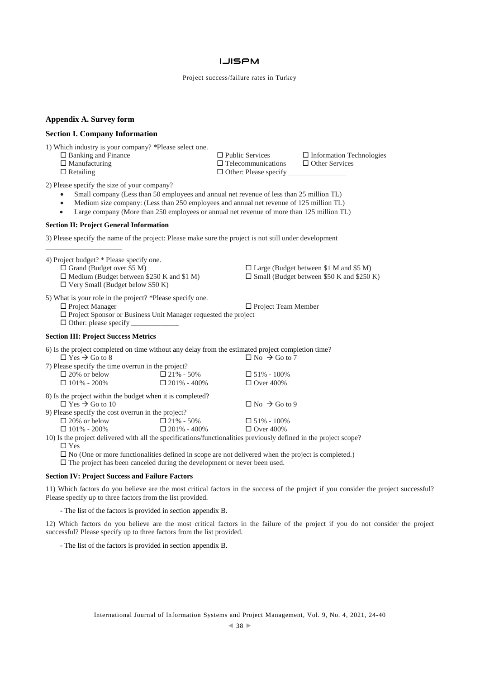# **LJISPM**

Project success/failure rates in Turkey

## **Appendix A. Survey form**

## **Section I. Company Information**

1) Which industry is your company? \*Please select one*.*

- $\Box$  Banking and Finance  $\Box$  Public Services  $\Box$  Information Technologies  $\Box$  Manufacturing  $\Box$  Telecommunications  $\Box$  Other Services
- 

\_\_\_\_\_\_\_\_\_\_\_\_\_\_\_\_\_\_\_\_\_

 $\square$  Telecommunications  $\square$  Retailing  $\square$  Other: Please specify

2) Please specify the size of your company?

- Small company (Less than 50 employees and annual net revenue of less than 25 million TL)
- Medium size company: (Less than 250 employees and annual net revenue of 125 million TL)
- Large company (More than 250 employees or annual net revenue of more than 125 million TL)

#### **Section II: Project General Information**

3) Please specify the name of the project: Please make sure the project is not still under development

4) Project budget? \* Please specify one*.*  $\Box$  Large (Budget between \$1 M and \$5 M)  $\Box$  Medium (Budget between \$250 K and \$1 M)  $\Box$  Small (Budget between \$50 K and \$250 K)  $\Box$  Very Small (Budget below \$50 K) 5) What is your role in the project? \*Please specify one.<br>  $\hfill\Box$  <br> Project Manager  $\square$  Project Team Member  $\square$  Project Sponsor or Business Unit Manager requested the project  $\Box$  Other: please specify **Section III: Project Success Metrics** 6) Is the project completed on time without any delay from the estimated project completion time?<br> $\Box$  No  $\rightarrow$  Go to 7  $\Box$  Yes  $\rightarrow$  Go to 8 7) Please specify the time overrun in the project?<br> $\Box$  20% or below  $\Box$  21% - 50%  $\Box$  20% or below  $\Box$  21% - 50%  $\Box$  51% - 100%  $\Box$  101% - 200%  $\Box$  201% - 400%  $\Box$  Over 400% 8) Is the project within the budget when it is completed?  $\Box$  Yes  $\rightarrow$  Go to 10  $\Box$  No  $\rightarrow$  Go to 9 9) Please specify the cost overrun in the project?  $\Box$  20% or below  $\Box$  21% - 50%  $\Box$  51% - 100%  $\Box$  101% - 200%  $\Box$  201% - 400%  $\Box$  Over 400% 10) Is the project delivered with all the specifications/functionalities previously defined in the project scope? □ Yes

No (One or more functionalities defined in scope are not delivered when the project is completed.)

 $\square$  The project has been canceled during the development or never been used.

#### **Section IV: Project Success and Failure Factors**

11) Which factors do you believe are the most critical factors in the success of the project if you consider the project successful? Please specify up to three factors from the list provided.

- The list of the factors is provided in section appendix B.

12) Which factors do you believe are the most critical factors in the failure of the project if you do not consider the project successful? Please specify up to three factors from the list provided.

- The list of the factors is provided in section appendix B.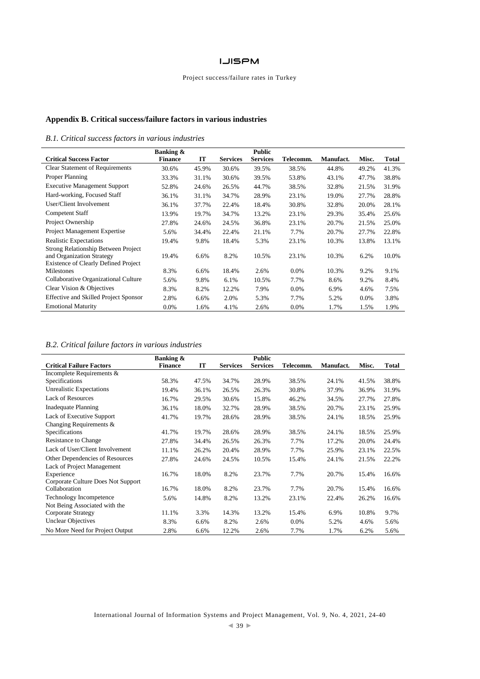# Project success/failure rates in Turkey

# **Appendix B. Critical success/failure factors in various industries**

# *B.1. Critical success factors in various industries*

|                                                                                                                 | Banking &      |       |                 | <b>Public</b>   |           |                  |         |       |
|-----------------------------------------------------------------------------------------------------------------|----------------|-------|-----------------|-----------------|-----------|------------------|---------|-------|
| <b>Critical Success Factor</b>                                                                                  | <b>Finance</b> | IT    | <b>Services</b> | <b>Services</b> | Telecomm. | <b>Manufact.</b> | Misc.   | Total |
| <b>Clear Statement of Requirements</b>                                                                          | 30.6%          | 45.9% | 30.6%           | 39.5%           | 38.5%     | 44.8%            | 49.2%   | 41.3% |
| Proper Planning                                                                                                 | 33.3%          | 31.1% | 30.6%           | 39.5%           | 53.8%     | 43.1%            | 47.7%   | 38.8% |
| <b>Executive Management Support</b>                                                                             | 52.8%          | 24.6% | 26.5%           | 44.7%           | 38.5%     | 32.8%            | 21.5%   | 31.9% |
| Hard-working, Focused Staff                                                                                     | 36.1%          | 31.1% | 34.7%           | 28.9%           | 23.1%     | 19.0%            | 27.7%   | 28.8% |
| User/Client Involvement                                                                                         | 36.1%          | 37.7% | 22.4%           | 18.4%           | 30.8%     | 32.8%            | 20.0%   | 28.1% |
| Competent Staff                                                                                                 | 13.9%          | 19.7% | 34.7%           | 13.2%           | 23.1%     | 29.3%            | 35.4%   | 25.6% |
| Project Ownership                                                                                               | 27.8%          | 24.6% | 24.5%           | 36.8%           | 23.1%     | 20.7%            | 21.5%   | 25.0% |
| Project Management Expertise                                                                                    | 5.6%           | 34.4% | 22.4%           | 21.1%           | 7.7%      | 20.7%            | 27.7%   | 22.8% |
| Realistic Expectations                                                                                          | 19.4%          | 9.8%  | 18.4%           | 5.3%            | 23.1%     | 10.3%            | 13.8%   | 13.1% |
| Strong Relationship Between Project<br>and Organization Strategy<br><b>Existence of Clearly Defined Project</b> | 19.4%          | 6.6%  | 8.2%            | 10.5%           | 23.1%     | 10.3%            | 6.2%    | 10.0% |
| Milestones                                                                                                      | 8.3%           | 6.6%  | 18.4%           | 2.6%            | $0.0\%$   | 10.3%            | 9.2%    | 9.1%  |
| Collaborative Organizational Culture                                                                            | 5.6%           | 9.8%  | 6.1%            | 10.5%           | 7.7%      | 8.6%             | 9.2%    | 8.4%  |
| Clear Vision & Objectives                                                                                       | 8.3%           | 8.2%  | 12.2%           | 7.9%            | 0.0%      | 6.9%             | 4.6%    | 7.5%  |
| <b>Effective and Skilled Project Sponsor</b>                                                                    | 2.8%           | 6.6%  | 2.0%            | 5.3%            | 7.7%      | 5.2%             | $0.0\%$ | 3.8%  |
| <b>Emotional Maturity</b>                                                                                       | 0.0%           | 1.6%  | 4.1%            | 2.6%            | 0.0%      | 1.7%             | 1.5%    | 1.9%  |

# *B.2. Critical failure factors in various industries*

|                                    | <b>Banking &amp;</b> |       |                 | <b>Public</b>   |           |           |       |              |
|------------------------------------|----------------------|-------|-----------------|-----------------|-----------|-----------|-------|--------------|
| <b>Critical Failure Factors</b>    | <b>Finance</b>       | IT    | <b>Services</b> | <b>Services</b> | Telecomm. | Manufact. | Misc. | <b>Total</b> |
| Incomplete Requirements &          |                      |       |                 |                 |           |           |       |              |
| Specifications                     | 58.3%                | 47.5% | 34.7%           | 28.9%           | 38.5%     | 24.1%     | 41.5% | 38.8%        |
| Unrealistic Expectations           | 19.4%                | 36.1% | 26.5%           | 26.3%           | 30.8%     | 37.9%     | 36.9% | 31.9%        |
| <b>Lack of Resources</b>           | 16.7%                | 29.5% | 30.6%           | 15.8%           | 46.2%     | 34.5%     | 27.7% | 27.8%        |
| <b>Inadequate Planning</b>         | 36.1%                | 18.0% | 32.7%           | 28.9%           | 38.5%     | 20.7%     | 23.1% | 25.9%        |
| Lack of Executive Support          | 41.7%                | 19.7% | 28.6%           | 28.9%           | 38.5%     | 24.1%     | 18.5% | 25.9%        |
| Changing Requirements &            |                      |       |                 |                 |           |           |       |              |
| Specifications                     | 41.7%                | 19.7% | 28.6%           | 28.9%           | 38.5%     | 24.1%     | 18.5% | 25.9%        |
| Resistance to Change               | 27.8%                | 34.4% | 26.5%           | 26.3%           | 7.7%      | 17.2%     | 20.0% | 24.4%        |
| Lack of User/Client Involvement    | 11.1%                | 26.2% | 20.4%           | 28.9%           | 7.7%      | 25.9%     | 23.1% | 22.5%        |
| Other Dependencies of Resources    | 27.8%                | 24.6% | 24.5%           | 10.5%           | 15.4%     | 24.1%     | 21.5% | 22.2%        |
| Lack of Project Management         |                      |       |                 |                 |           |           |       |              |
| Experience                         | 16.7%                | 18.0% | 8.2%            | 23.7%           | 7.7%      | 20.7%     | 15.4% | 16.6%        |
| Corporate Culture Does Not Support |                      |       |                 |                 |           |           |       |              |
| Collaboration                      | 16.7%                | 18.0% | 8.2%            | 23.7%           | 7.7%      | 20.7%     | 15.4% | 16.6%        |
| Technology Incompetence            | 5.6%                 | 14.8% | 8.2%            | 13.2%           | 23.1%     | 22.4%     | 26.2% | 16.6%        |
| Not Being Associated with the      |                      |       |                 |                 |           |           |       |              |
| Corporate Strategy                 | 11.1%                | 3.3%  | 14.3%           | 13.2%           | 15.4%     | 6.9%      | 10.8% | 9.7%         |
| <b>Unclear Objectives</b>          | 8.3%                 | 6.6%  | 8.2%            | 2.6%            | 0.0%      | 5.2%      | 4.6%  | 5.6%         |
| No More Need for Project Output    | 2.8%                 | 6.6%  | 12.2%           | 2.6%            | 7.7%      | 1.7%      | 6.2%  | 5.6%         |